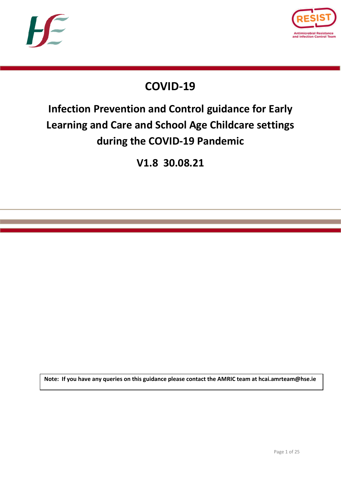



## **COVID-19**

# **Infection Prevention and Control guidance for Early Learning and Care and School Age Childcare settings during the COVID-19 Pandemic**

**V1.8 30.08.21**

**Note: If you have any queries on this guidance please contact the AMRIC team at hcai.amrteam@hse.ie**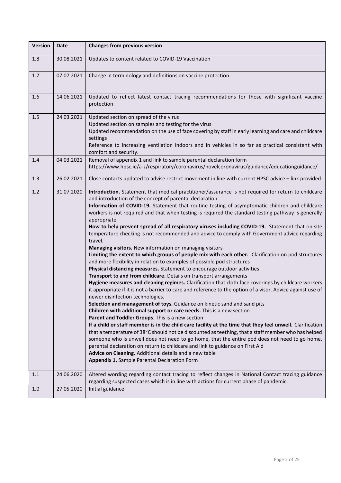| <b>Version</b> | <b>Date</b> | <b>Changes from previous version</b>                                                                                                                                                                                                                                                                                                                                                                                                                                                                                                                                                                                                                                                                                                                                                                                                                                                                                                                                                                                                                                                                                                                                                                                                                                                                                                                                                                                                                                                                                                                                                                                                                                                                                                                                                                                                                                                                                                                                                          |  |  |
|----------------|-------------|-----------------------------------------------------------------------------------------------------------------------------------------------------------------------------------------------------------------------------------------------------------------------------------------------------------------------------------------------------------------------------------------------------------------------------------------------------------------------------------------------------------------------------------------------------------------------------------------------------------------------------------------------------------------------------------------------------------------------------------------------------------------------------------------------------------------------------------------------------------------------------------------------------------------------------------------------------------------------------------------------------------------------------------------------------------------------------------------------------------------------------------------------------------------------------------------------------------------------------------------------------------------------------------------------------------------------------------------------------------------------------------------------------------------------------------------------------------------------------------------------------------------------------------------------------------------------------------------------------------------------------------------------------------------------------------------------------------------------------------------------------------------------------------------------------------------------------------------------------------------------------------------------------------------------------------------------------------------------------------------------|--|--|
| 1.8            | 30.08.2021  | Updates to content related to COVID-19 Vaccination                                                                                                                                                                                                                                                                                                                                                                                                                                                                                                                                                                                                                                                                                                                                                                                                                                                                                                                                                                                                                                                                                                                                                                                                                                                                                                                                                                                                                                                                                                                                                                                                                                                                                                                                                                                                                                                                                                                                            |  |  |
| 1.7            | 07.07.2021  | Change in terminology and definitions on vaccine protection                                                                                                                                                                                                                                                                                                                                                                                                                                                                                                                                                                                                                                                                                                                                                                                                                                                                                                                                                                                                                                                                                                                                                                                                                                                                                                                                                                                                                                                                                                                                                                                                                                                                                                                                                                                                                                                                                                                                   |  |  |
| 1.6            | 14.06.2021  | Updated to reflect latest contact tracing recommendations for those with significant vaccine<br>protection                                                                                                                                                                                                                                                                                                                                                                                                                                                                                                                                                                                                                                                                                                                                                                                                                                                                                                                                                                                                                                                                                                                                                                                                                                                                                                                                                                                                                                                                                                                                                                                                                                                                                                                                                                                                                                                                                    |  |  |
| 1.5            | 24.03.2021  | Updated section on spread of the virus<br>Updated section on samples and testing for the virus<br>Updated recommendation on the use of face covering by staff in early learning and care and childcare<br>settings<br>Reference to increasing ventilation indoors and in vehicles in so far as practical consistent with<br>comfort and security.                                                                                                                                                                                                                                                                                                                                                                                                                                                                                                                                                                                                                                                                                                                                                                                                                                                                                                                                                                                                                                                                                                                                                                                                                                                                                                                                                                                                                                                                                                                                                                                                                                             |  |  |
| 1.4            | 04.03.2021  | Removal of appendix 1 and link to sample parental declaration form<br>https://www.hpsc.ie/a-z/respiratory/coronavirus/novelcoronavirus/guidance/educationguidance/                                                                                                                                                                                                                                                                                                                                                                                                                                                                                                                                                                                                                                                                                                                                                                                                                                                                                                                                                                                                                                                                                                                                                                                                                                                                                                                                                                                                                                                                                                                                                                                                                                                                                                                                                                                                                            |  |  |
| 1.3            | 26.02.2021  | Close contacts updated to advise restrict movement in line with current HPSC advice - link provided                                                                                                                                                                                                                                                                                                                                                                                                                                                                                                                                                                                                                                                                                                                                                                                                                                                                                                                                                                                                                                                                                                                                                                                                                                                                                                                                                                                                                                                                                                                                                                                                                                                                                                                                                                                                                                                                                           |  |  |
| 1.2            | 31.07.2020  | Introduction. Statement that medical practitioner/assurance is not required for return to childcare<br>and introduction of the concept of parental declaration<br>Information of COVID-19. Statement that routine testing of asymptomatic children and childcare<br>workers is not required and that when testing is required the standard testing pathway is generally<br>appropriate<br>How to help prevent spread of all respiratory viruses including COVID-19. Statement that on site<br>temperature checking is not recommended and advice to comply with Government advice regarding<br>travel.<br>Managing visitors. New information on managing visitors<br>Limiting the extent to which groups of people mix with each other. Clarification on pod structures<br>and more flexibility in relation to examples of possible pod structures<br>Physical distancing measures. Statement to encourage outdoor activities<br>Transport to and from childcare. Details on transport arrangements<br>Hygiene measures and cleaning regimes. Clarification that cloth face coverings by childcare workers<br>it appropriate if it is not a barrier to care and reference to the option of a visor. Advice against use of<br>newer disinfection technologies.<br>Selection and management of toys. Guidance on kinetic sand and sand pits<br>Children with additional support or care needs. This is a new section<br>Parent and Toddler Groups. This is a new section<br>If a child or staff member is in the child care facility at the time that they feel unwell. Clarification<br>that a temperature of 38°C should not be discounted as teething, that a staff member who has helped<br>someone who is unwell does not need to go home, that the entire pod does not need to go home,<br>parental declaration on return to childcare and link to guidance on First Aid<br>Advice on Cleaning. Additional details and a new table<br><b>Appendix 1.</b> Sample Parental Declaration Form |  |  |
| 1.1            | 24.06.2020  | Altered wording regarding contact tracing to reflect changes in National Contact tracing guidance<br>regarding suspected cases which is in line with actions for current phase of pandemic.                                                                                                                                                                                                                                                                                                                                                                                                                                                                                                                                                                                                                                                                                                                                                                                                                                                                                                                                                                                                                                                                                                                                                                                                                                                                                                                                                                                                                                                                                                                                                                                                                                                                                                                                                                                                   |  |  |
| 1.0            | 27.05.2020  | Initial guidance                                                                                                                                                                                                                                                                                                                                                                                                                                                                                                                                                                                                                                                                                                                                                                                                                                                                                                                                                                                                                                                                                                                                                                                                                                                                                                                                                                                                                                                                                                                                                                                                                                                                                                                                                                                                                                                                                                                                                                              |  |  |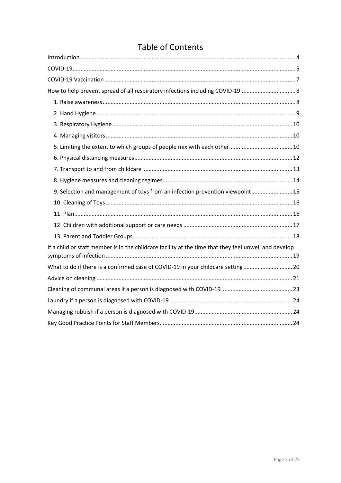### **Table of Contents**

| How to help prevent spread of all respiratory infections including COVID-19                           |  |
|-------------------------------------------------------------------------------------------------------|--|
|                                                                                                       |  |
|                                                                                                       |  |
|                                                                                                       |  |
|                                                                                                       |  |
|                                                                                                       |  |
|                                                                                                       |  |
|                                                                                                       |  |
|                                                                                                       |  |
| 9. Selection and management of toys from an infection prevention viewpoint15                          |  |
|                                                                                                       |  |
|                                                                                                       |  |
|                                                                                                       |  |
|                                                                                                       |  |
| If a child or staff member is in the childcare facility at the time that they feel unwell and develop |  |
| What to do if there is a confirmed case of COVID-19 in your childcare setting20                       |  |
|                                                                                                       |  |
|                                                                                                       |  |
|                                                                                                       |  |
|                                                                                                       |  |
|                                                                                                       |  |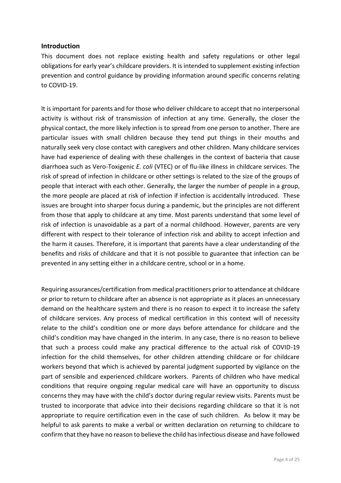#### <span id="page-3-0"></span>**Introduction**

This document does not replace existing health and safety regulations or other legal obligations for early year's childcare providers. It is intended to supplement existing infection prevention and control guidance by providing information around specific concerns relating to COVID-19.

It is important for parents and for those who deliver childcare to accept that no interpersonal activity is without risk of transmission of infection at any time. Generally, the closer the physical contact, the more likely infection is to spread from one person to another. There are particular issues with small children because they tend put things in their mouths and naturally seek very close contact with caregivers and other children. Many childcare services have had experience of dealing with these challenges in the context of bacteria that cause diarrhoea such as Vero-Toxigenic *E. coli* (VTEC) or of flu-like illness in childcare services. The risk of spread of infection in childcare or other settings is related to the size of the groups of people that interact with each other. Generally, the larger the number of people in a group, the more people are placed at risk of infection if infection is accidentally introduced. These issues are brought into sharper focus during a pandemic, but the principles are not different from those that apply to childcare at any time. Most parents understand that some level of risk of infection is unavoidable as a part of a normal childhood. However, parents are very different with respect to their tolerance of infection risk and ability to accept infection and the harm it causes. Therefore, it is important that parents have a clear understanding of the benefits and risks of childcare and that it is not possible to guarantee that infection can be prevented in any setting either in a childcare centre, school or in a home.

Requiring assurances/certification from medical practitioners prior to attendance at childcare or prior to return to childcare after an absence is not appropriate as it places an unnecessary demand on the healthcare system and there is no reason to expect it to increase the safety of childcare services. Any process of medical certification in this context will of necessity relate to the child's condition one or more days before attendance for childcare and the child's condition may have changed in the interim. In any case, there is no reason to believe that such a process could make any practical difference to the actual risk of COVID-19 infection for the child themselves, for other children attending childcare or for childcare workers beyond that which is achieved by parental judgment supported by vigilance on the part of sensible and experienced childcare workers. Parents of children who have medical conditions that require ongoing regular medical care will have an opportunity to discuss concerns they may have with the child's doctor during regular review visits. Parents must be trusted to incorporate that advice into their decisions regarding childcare so that it is not appropriate to require certification even in the case of such children. As below it may be helpful to ask parents to make a verbal or written declaration on returning to childcare to confirm that they have no reason to believe the child has infectious disease and have followed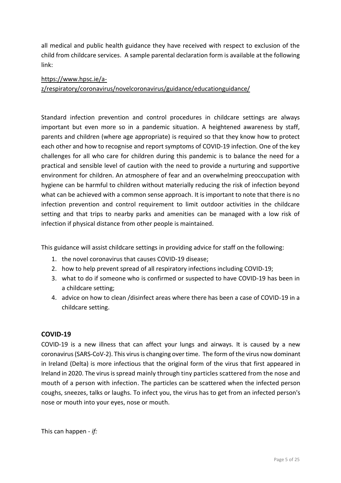all medical and public health guidance they have received with respect to exclusion of the child from childcare services. A sample parental declaration form is available at the following link:

#### [https://www.hpsc.ie/a-](https://scanner.topsec.com/?u=https%3A%2F%2Fwww.hpsc.ie%2Fa-z%2Frespiratory%2Fcoronavirus%2Fnovelcoronavirus%2Fguidance%2Feducationguidance%2F&t=a80320abf5fca90360a58f556f540fa1e8ae9f77&d=2104)

[z/respiratory/coronavirus/novelcoronavirus/guidance/educationguidance/](https://scanner.topsec.com/?u=https%3A%2F%2Fwww.hpsc.ie%2Fa-z%2Frespiratory%2Fcoronavirus%2Fnovelcoronavirus%2Fguidance%2Feducationguidance%2F&t=a80320abf5fca90360a58f556f540fa1e8ae9f77&d=2104)

Standard infection prevention and control procedures in childcare settings are always important but even more so in a pandemic situation. A heightened awareness by staff, parents and children (where age appropriate) is required so that they know how to protect each other and how to recognise and report symptoms of COVID-19 infection. One of the key challenges for all who care for children during this pandemic is to balance the need for a practical and sensible level of caution with the need to provide a nurturing and supportive environment for children. An atmosphere of fear and an overwhelming preoccupation with hygiene can be harmful to children without materially reducing the risk of infection beyond what can be achieved with a common sense approach. It is important to note that there is no infection prevention and control requirement to limit outdoor activities in the childcare setting and that trips to nearby parks and amenities can be managed with a low risk of infection if physical distance from other people is maintained.

This guidance will assist childcare settings in providing advice for staff on the following:

- 1. the novel coronavirus that causes COVID-19 disease;
- 2. how to help prevent spread of all respiratory infections including COVID-19;
- 3. what to do if someone who is confirmed or suspected to have COVID-19 has been in a childcare setting;
- 4. advice on how to clean /disinfect areas where there has been a case of COVID-19 in a childcare setting.

#### <span id="page-4-0"></span>**COVID-19**

COVID-19 is a new illness that can affect your lungs and airways. It is caused by a new coronavirus(SARS-CoV-2). This virus is changing over time. The form of the virus now dominant in Ireland (Delta) is more infectious that the original form of the virus that first appeared in Ireland in 2020. The virus is spread mainly through tiny particles scattered from the nose and mouth of a person with infection. The particles can be scattered when the infected person coughs, sneezes, talks or laughs. To infect you, the virus has to get from an infected person's nose or mouth into your eyes, nose or mouth.

This can happen - *if:*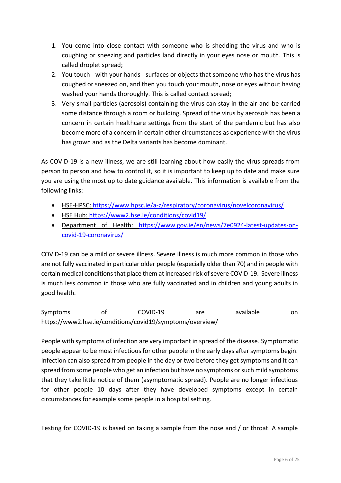- 1. You come into close contact with someone who is shedding the virus and who is coughing or sneezing and particles land directly in your eyes nose or mouth. This is called droplet spread;
- 2. You touch with your hands surfaces or objects that someone who has the virus has coughed or sneezed on, and then you touch your mouth, nose or eyes without having washed your hands thoroughly. This is called contact spread;
- 3. Very small particles (aerosols) containing the virus can stay in the air and be carried some distance through a room or building. Spread of the virus by aerosols has been a concern in certain healthcare settings from the start of the pandemic but has also become more of a concern in certain other circumstances as experience with the virus has grown and as the Delta variants has become dominant.

As COVID-19 is a new illness, we are still learning about how easily the virus spreads from person to person and how to control it, so it is important to keep up to date and make sure you are using the most up to date guidance available. This information is available from the following links:

- [HSE-HPSC: https://www.hpsc.ie/a-z/respiratory/coronavirus/novelcoronavirus/](https://www.hpsc.ie/a-z/respiratory/coronavirus/novelcoronavirus/)
- [HSE Hub:](https://hse.drsteevenslibrary.ie/Covid19V2)<https://www2.hse.ie/conditions/covid19/>
- [Department of Health:](https://www.gov.ie/en/campaigns/c36c85-covid-19-coronavirus/) [https://www.gov.ie/en/news/7e0924-latest-updates-on](https://www.gov.ie/en/news/7e0924-latest-updates-on-covid-19-coronavirus/)[covid-19-coronavirus/](https://www.gov.ie/en/news/7e0924-latest-updates-on-covid-19-coronavirus/)

COVID-19 can be a mild or severe illness. Severe illness is much more common in those who are not fully vaccinated in particular older people (especially older than 70) and in people with certain medical conditions that place them at increased risk of severe COVID-19. Severe illness is much less common in those who are fully vaccinated and in children and young adults in good health.

Symptoms of COVID-19 are available on https://www2.hse.ie/conditions/covid19/symptoms/overview/

People with symptoms of infection are very important in spread of the disease. Symptomatic people appear to be most infectious for other people in the early days after symptoms begin. Infection can also spread from people in the day or two before they get symptoms and it can spread from some people who get an infection but have no symptoms or such mild symptoms that they take little notice of them (asymptomatic spread). People are no longer infectious for other people 10 days after they have developed symptoms except in certain circumstances for example some people in a hospital setting.

Testing for COVID-19 is based on taking a sample from the nose and / or throat. A sample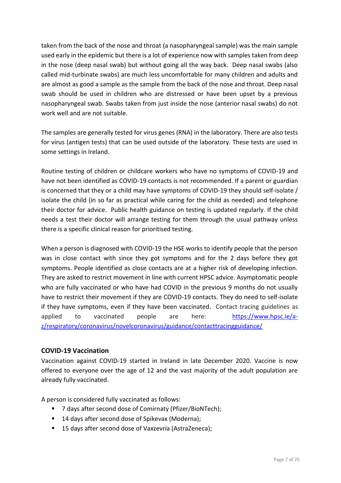taken from the back of the nose and throat (a nasopharyngeal sample) was the main sample used early in the epidemic but there is a lot of experience now with samples taken from deep in the nose (deep nasal swab) but without going all the way back. Deep nasal swabs (also called mid-turbinate swabs) are much less uncomfortable for many children and adults and are almost as good a sample as the sample from the back of the nose and throat. Deep nasal swab should be used in children who are distressed or have been upset by a previous nasopharyngeal swab. Swabs taken from just inside the nose (anterior nasal swabs) do not work well and are not suitable.

The samples are generally tested for virus genes (RNA) in the laboratory. There are also tests for virus (antigen tests) that can be used outside of the laboratory. These tests are used in some settings in Ireland.

Routine testing of children or childcare workers who have no symptoms of COVID-19 and have not been identified as COVID-19 contacts is not recommended. If a parent or guardian is concerned that they or a child may have symptoms of COVID-19 they should self-isolate / isolate the child (in so far as practical while caring for the child as needed) and telephone their doctor for advice. Public health guidance on testing is updated regularly. If the child needs a test their doctor will arrange testing for them through the usual pathway unless there is a specific clinical reason for prioritised testing.

When a person is diagnosed with COVID-19 the HSE works to identify people that the person was in close contact with since they got symptoms and for the 2 days before they got symptoms. People identified as close contacts are at a higher risk of developing infection. They are asked to restrict movement in line with current HPSC advice. Asymptomatic people who are fully vaccinated or who have had COVID in the previous 9 months do not usually have to restrict their movement if they are COVID-19 contacts. They do need to self-isolate if they have symptoms, even if they have been vaccinated. Contact tracing guidelines as applied to vaccinated people are here: [https://www.hpsc.ie/a](https://www.hpsc.ie/a-z/respiratory/coronavirus/novelcoronavirus/guidance/contacttracingguidance/)[z/respiratory/coronavirus/novelcoronavirus/guidance/contacttracingguidance/](https://www.hpsc.ie/a-z/respiratory/coronavirus/novelcoronavirus/guidance/contacttracingguidance/)

#### <span id="page-6-0"></span>**COVID-19 Vaccination**

Vaccination against COVID-19 started in Ireland in late December 2020. Vaccine is now offered to everyone over the age of 12 and the vast majority of the adult population are already fully vaccinated.

A person is considered fully vaccinated as follows:

- 7 days after second dose of Comirnaty (Pfizer/BioNTech);
- 14 days after second dose of Spikevax (Moderna);
- 15 days after second dose of Vaxzevria (AstraZeneca);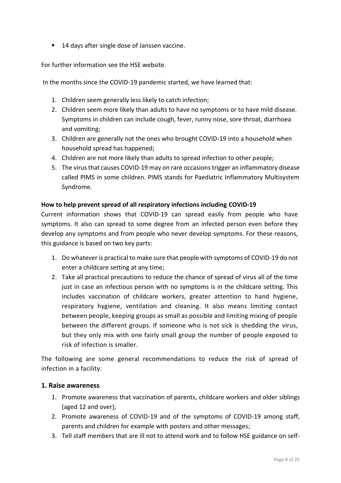■ 14 days after single dose of Janssen vaccine.

For further information see the HSE website.

In the months since the COVID-19 pandemic started, we have learned that:

- 1. Children seem generally less likely to catch infection;
- 2. Children seem more likely than adults to have no symptoms or to have mild disease. Symptoms in children can include cough, fever, runny nose, sore throat, diarrhoea and vomiting;
- 3. Children are generally not the ones who brought COVID-19 into a household when household spread has happened;
- 4. Children are not more likely than adults to spread infection to other people;
- 5. The virus that causes COVID-19 may on rare occasions trigger an inflammatory disease called PIMS in some children. PIMS stands for Paediatric Inflammatory Multisystem Syndrome.

#### <span id="page-7-0"></span>**How to help prevent spread of all respiratory infections including COVID-19**

Current information shows that COVID-19 can spread easily from people who have symptoms. It also can spread to some degree from an infected person even before they develop any symptoms and from people who never develop symptoms. For these reasons, this guidance is based on two key parts:

- 1. Do whatever is practical to make sure that people with symptoms of COVID-19 do not enter a childcare setting at any time;
- 2. Take all practical precautions to reduce the chance of spread of virus all of the time just in case an infectious person with no symptoms is in the childcare setting. This includes vaccination of childcare workers, greater attention to hand hygiene, respiratory hygiene, ventilation and cleaning. It also means limiting contact between people, keeping groups as small as possible and limiting mixing of people between the different groups. If someone who is not sick is shedding the virus, but they only mix with one fairly small group the number of people exposed to risk of infection is smaller.

The following are some general recommendations to reduce the risk of spread of infection in a facility:

#### <span id="page-7-1"></span>**1. Raise awareness**

- 1. Promote awareness that vaccination of parents, childcare workers and older siblings (aged 12 and over);
- 2. Promote awareness of COVID-19 and of the symptoms of COVID-19 among staff, parents and children for example with posters and other messages;
- 3. Tell staff members that are ill not to attend work and to follow HSE guidance on self-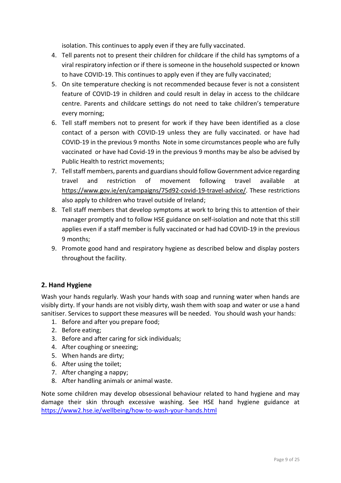isolation. This continues to apply even if they are fully vaccinated.

- 4. Tell parents not to present their children for childcare if the child has symptoms of a viral respiratory infection or if there is someone in the household suspected or known to have COVID-19. This continues to apply even if they are fully vaccinated;
- 5. On site temperature checking is not recommended because fever is not a consistent feature of COVID-19 in children and could result in delay in access to the childcare centre. Parents and childcare settings do not need to take children's temperature every morning;
- 6. Tell staff members not to present for work if they have been identified as a close contact of a person with COVID-19 unless they are fully vaccinated. or have had COVID-19 in the previous 9 months Note in some circumstances people who are fully vaccinated or have had Covid-19 in the previous 9 months may be also be advised by Public Health to restrict movements;
- 7. Tell staff members, parents and guardiansshould follow Government advice regarding travel and restriction of movement following travel available at [https://www.gov.ie/en/campaigns/75d92-covid-19-travel-advice/.](https://www.gov.ie/en/campaigns/75d92-covid-19-travel-advice/) These restrictions also apply to children who travel outside of Ireland;
- 8. Tell staff members that develop symptoms at work to bring this to attention of their manager promptly and to follow HSE guidance on self-isolation and note that this still applies even if a staff member is fully vaccinated or had had COVID-19 in the previous 9 months;
- 9. Promote good hand and respiratory hygiene as described below and display posters throughout the facility.

#### <span id="page-8-0"></span>**2. Hand Hygiene**

Wash your hands regularly. Wash your hands with soap and running water when hands are visibly dirty. If your hands are not visibly dirty, wash them with soap and water or use a hand sanitiser. Services to support these measures will be needed. You should wash your hands:

- 1. Before and after you prepare food;
- 2. Before eating;
- 3. Before and after caring for sick individuals;
- 4. After coughing or sneezing;
- 5. When hands are dirty;
- 6. After using the toilet;
- 7. After changing a nappy;
- 8. After handling animals or animal waste.

Note some children may develop obsessional behaviour related to hand hygiene and may damage their skin through excessive washing. See HSE hand hygiene guidance at <https://www2.hse.ie/wellbeing/how-to-wash-your-hands.html>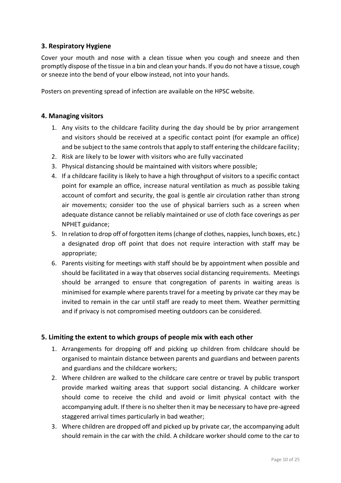#### <span id="page-9-0"></span>**3. Respiratory Hygiene**

Cover your mouth and nose with a clean tissue when you cough and sneeze and then promptly dispose of the tissue in a bin and clean your hands. If you do not have a tissue, cough or sneeze into the bend of your elbow instead, not into your hands.

Posters on preventing spread of infection are available on the HPSC website.

#### <span id="page-9-1"></span>**4. Managing visitors**

- 1. Any visits to the childcare facility during the day should be by prior arrangement and visitors should be received at a specific contact point (for example an office) and be subject to the same controls that apply to staff entering the childcare facility;
- 2. Risk are likely to be lower with visitors who are fully vaccinated
- 3. Physical distancing should be maintained with visitors where possible;
- 4. If a childcare facility is likely to have a high throughput of visitors to a specific contact point for example an office, increase natural ventilation as much as possible taking account of comfort and security, the goal is gentle air circulation rather than strong air movements; consider too the use of physical barriers such as a screen when adequate distance cannot be reliably maintained or use of cloth face coverings as per NPHET guidance;
- 5. In relation to drop off of forgotten items (change of clothes, nappies, lunch boxes, etc.) a designated drop off point that does not require interaction with staff may be appropriate;
- 6. Parents visiting for meetings with staff should be by appointment when possible and should be facilitated in a way that observes social distancing requirements. Meetings should be arranged to ensure that congregation of parents in waiting areas is minimised for example where parents travel for a meeting by private car they may be invited to remain in the car until staff are ready to meet them. Weather permitting and if privacy is not compromised meeting outdoors can be considered.

#### <span id="page-9-2"></span>**5. Limiting the extent to which groups of people mix with each other**

- 1. Arrangements for dropping off and picking up children from childcare should be organised to maintain distance between parents and guardians and between parents and guardians and the childcare workers;
- 2. Where children are walked to the childcare care centre or travel by public transport provide marked waiting areas that support social distancing. A childcare worker should come to receive the child and avoid or limit physical contact with the accompanying adult. If there is no shelter then it may be necessary to have pre-agreed staggered arrival times particularly in bad weather;
- 3. Where children are dropped off and picked up by private car, the accompanying adult should remain in the car with the child. A childcare worker should come to the car to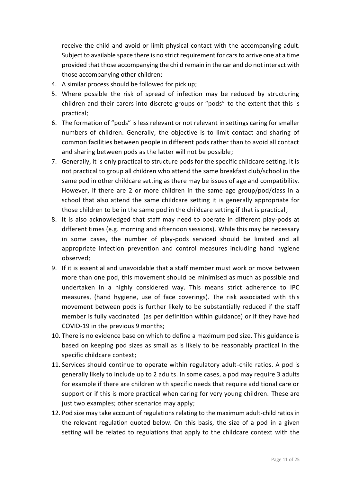receive the child and avoid or limit physical contact with the accompanying adult. Subject to available space there is no strict requirement for cars to arrive one at a time provided that those accompanying the child remain in the car and do not interact with those accompanying other children;

- 4. A similar process should be followed for pick up;
- 5. Where possible the risk of spread of infection may be reduced by structuring children and their carers into discrete groups or "pods" to the extent that this is practical;
- 6. The formation of "pods" is less relevant or not relevant in settings caring for smaller numbers of children. Generally, the objective is to limit contact and sharing of common facilities between people in different pods rather than to avoid all contact and sharing between pods as the latter will not be possible;
- 7. Generally, it is only practical to structure pods for the specific childcare setting. It is not practical to group all children who attend the same breakfast club/school in the same pod in other childcare setting as there may be issues of age and compatibility. However, if there are 2 or more children in the same age group/pod/class in a school that also attend the same childcare setting it is generally appropriate for those children to be in the same pod in the childcare setting if that is practical;
- 8. It is also acknowledged that staff may need to operate in different play-pods at different times (e.g. morning and afternoon sessions). While this may be necessary in some cases, the number of play-pods serviced should be limited and all appropriate infection prevention and control measures including hand hygiene observed;
- 9. If it is essential and unavoidable that a staff member must work or move between more than one pod, this movement should be minimised as much as possible and undertaken in a highly considered way. This means strict adherence to IPC measures, (hand hygiene, use of face coverings). The risk associated with this movement between pods is further likely to be substantially reduced if the staff member is fully vaccinated (as per definition within guidance) or if they have had COVID-19 in the previous 9 months;
- 10. There is no evidence base on which to define a maximum pod size. This guidance is based on keeping pod sizes as small as is likely to be reasonably practical in the specific childcare context;
- 11. Services should continue to operate within regulatory adult-child ratios. A pod is generally likely to include up to 2 adults. In some cases, a pod may require 3 adults for example if there are children with specific needs that require additional care or support or if this is more practical when caring for very young children. These are just two examples; other scenarios may apply;
- 12. Pod size may take account of regulations relating to the maximum adult-child ratios in the relevant regulation quoted below. On this basis, the size of a pod in a given setting will be related to regulations that apply to the childcare context with the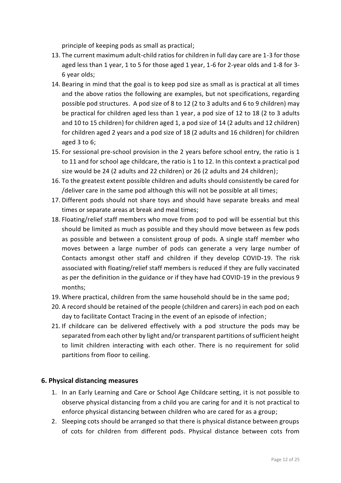principle of keeping pods as small as practical;

- 13. The current maximum adult-child ratios for children in full day care are 1-3 for those aged less than 1 year, 1 to 5 for those aged 1 year, 1-6 for 2-year olds and 1-8 for 3- 6 year olds;
- 14. Bearing in mind that the goal is to keep pod size as small as is practical at all times and the above ratios the following are examples, but not specifications, regarding possible pod structures. A pod size of 8 to 12 (2 to 3 adults and 6 to 9 children) may be practical for children aged less than 1 year, a pod size of 12 to 18 (2 to 3 adults and 10 to 15 children) for children aged 1, a pod size of 14 (2 adults and 12 children) for children aged 2 years and a pod size of 18 (2 adults and 16 children) for children aged 3 to 6;
- 15. For sessional pre-school provision in the 2 years before school entry, the ratio is 1 to 11 and for school age childcare, the ratio is 1 to 12. In this context a practical pod size would be 24 (2 adults and 22 children) or 26 (2 adults and 24 children);
- 16. To the greatest extent possible children and adults should consistently be cared for /deliver care in the same pod although this will not be possible at all times;
- 17. Different pods should not share toys and should have separate breaks and meal times or separate areas at break and meal times;
- 18. Floating/relief staff members who move from pod to pod will be essential but this should be limited as much as possible and they should move between as few pods as possible and between a consistent group of pods. A single staff member who moves between a large number of pods can generate a very large number of Contacts amongst other staff and children if they develop COVID-19. The risk associated with floating/relief staff members is reduced if they are fully vaccinated as per the definition in the guidance or if they have had COVID-19 in the previous 9 months;
- 19. Where practical, children from the same household should be in the same pod;
- 20. A record should be retained of the people (children and carers) in each pod on each day to facilitate Contact Tracing in the event of an episode of infection;
- 21. If childcare can be delivered effectively with a pod structure the pods may be separated from each other by light and/or transparent partitions of sufficient height to limit children interacting with each other. There is no requirement for solid partitions from floor to ceiling.

#### <span id="page-11-0"></span>**6. Physical distancing measures**

- 1. In an Early Learning and Care or School Age Childcare setting, it is not possible to observe physical distancing from a child you are caring for and it is not practical to enforce physical distancing between children who are cared for as a group;
- 2. Sleeping cots should be arranged so that there is physical distance between groups of cots for children from different pods. Physical distance between cots from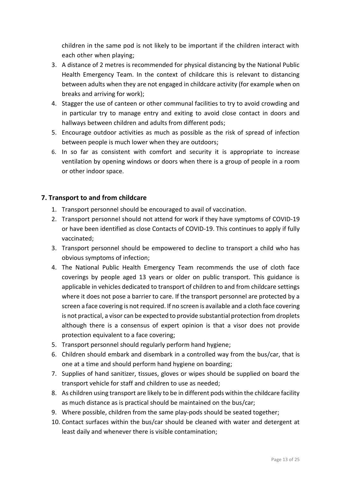children in the same pod is not likely to be important if the children interact with each other when playing;

- 3. A distance of 2 metres is recommended for physical distancing by the National Public Health Emergency Team. In the context of childcare this is relevant to distancing between adults when they are not engaged in childcare activity (for example when on breaks and arriving for work);
- 4. Stagger the use of canteen or other communal facilities to try to avoid crowding and in particular try to manage entry and exiting to avoid close contact in doors and hallways between children and adults from different pods;
- 5. Encourage outdoor activities as much as possible as the risk of spread of infection between people is much lower when they are outdoors;
- 6. In so far as consistent with comfort and security it is appropriate to increase ventilation by opening windows or doors when there is a group of people in a room or other indoor space.

#### <span id="page-12-0"></span>**7. Transport to and from childcare**

- 1. Transport personnel should be encouraged to avail of vaccination.
- 2. Transport personnel should not attend for work if they have symptoms of COVID-19 or have been identified as close Contacts of COVID-19. This continues to apply if fully vaccinated;
- 3. Transport personnel should be empowered to decline to transport a child who has obvious symptoms of infection;
- 4. The National Public Health Emergency Team recommends the use of cloth face coverings by people aged 13 years or older on public transport. This guidance is applicable in vehicles dedicated to transport of children to and from childcare settings where it does not pose a barrier to care. If the transport personnel are protected by a screen a face covering is not required. If no screen is available and a cloth face covering is not practical, a visor can be expected to provide substantial protection from droplets although there is a consensus of expert opinion is that a visor does not provide protection equivalent to a face covering;
- 5. Transport personnel should regularly perform hand hygiene;
- 6. Children should embark and disembark in a controlled way from the bus/car, that is one at a time and should perform hand hygiene on boarding;
- 7. Supplies of hand sanitizer, tissues, gloves or wipes should be supplied on board the transport vehicle for staff and children to use as needed;
- 8. As children using transport are likely to be in different pods within the childcare facility as much distance as is practical should be maintained on the bus/car;
- 9. Where possible, children from the same play-pods should be seated together;
- 10. Contact surfaces within the bus/car should be cleaned with water and detergent at least daily and whenever there is visible contamination;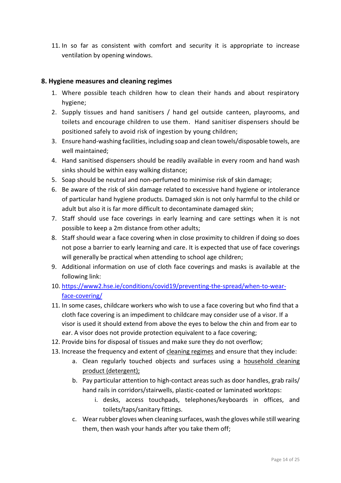11. In so far as consistent with comfort and security it is appropriate to increase ventilation by opening windows.

#### <span id="page-13-0"></span>**8. Hygiene measures and cleaning regimes**

- 1. Where possible teach children how to clean their hands and about respiratory hygiene;
- 2. Supply tissues and hand sanitisers / hand gel outside canteen, playrooms, and toilets and encourage children to use them. Hand sanitiser dispensers should be positioned safely to avoid risk of ingestion by young children;
- 3. Ensure hand-washing facilities, including soap and clean towels/disposable towels, are well maintained;
- 4. Hand sanitised dispensers should be readily available in every room and hand wash sinks should be within easy walking distance;
- 5. Soap should be neutral and non-perfumed to minimise risk of skin damage;
- 6. Be aware of the risk of skin damage related to excessive hand hygiene or intolerance of particular hand hygiene products. Damaged skin is not only harmful to the child or adult but also it is far more difficult to decontaminate damaged skin;
- 7. Staff should use face coverings in early learning and care settings when it is not possible to keep a 2m distance from other adults;
- 8. Staff should wear a face covering when in close proximity to children if doing so does not pose a barrier to early learning and care. It is expected that use of face coverings will generally be practical when attending to school age children;
- 9. Additional information on use of cloth face coverings and masks is available at the following link:
- 10. [https://www2.hse.ie/conditions/covid19/preventing-the-spread/when-to-wear](https://www2.hse.ie/conditions/covid19/preventing-the-spread/when-to-wear-face-covering/)[face-covering/](https://www2.hse.ie/conditions/covid19/preventing-the-spread/when-to-wear-face-covering/)
- 11. In some cases, childcare workers who wish to use a face covering but who find that a cloth face covering is an impediment to childcare may consider use of a visor. If a visor is used it should extend from above the eyes to below the chin and from ear to ear. A visor does not provide protection equivalent to a face covering;
- 12. Provide bins for disposal of tissues and make sure they do not overflow;
- 13. Increase the frequency and extent of cleaning regimes and ensure that they include:
	- a. Clean regularly touched objects and surfaces using a household cleaning product (detergent);
	- b. Pay particular attention to high-contact areas such as door handles, grab rails/ hand rails in corridors/stairwells, plastic-coated or laminated worktops:
		- i. desks, access touchpads, telephones/keyboards in offices, and toilets/taps/sanitary fittings.
	- c. Wear rubber gloves when cleaning surfaces, wash the gloves while still wearing them, then wash your hands after you take them off;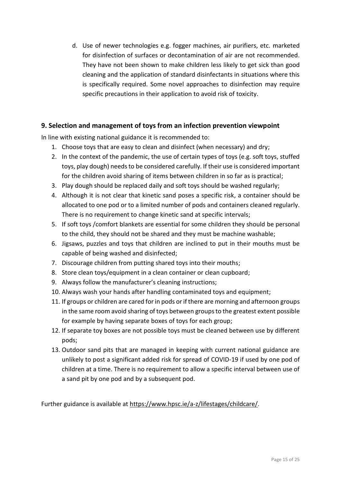d. Use of newer technologies e.g. fogger machines, air purifiers, etc. marketed for disinfection of surfaces or decontamination of air are not recommended. They have not been shown to make children less likely to get sick than good cleaning and the application of standard disinfectants in situations where this is specifically required. Some novel approaches to disinfection may require specific precautions in their application to avoid risk of toxicity.

#### <span id="page-14-0"></span>**9. Selection and management of toys from an infection prevention viewpoint**

In line with existing national guidance it is recommended to:

- 1. Choose toys that are easy to clean and disinfect (when necessary) and dry;
- 2. In the context of the pandemic, the use of certain types of toys (e.g. soft toys, stuffed toys, play dough) needs to be considered carefully. If their use is considered important for the children avoid sharing of items between children in so far as is practical;
- 3. Play dough should be replaced daily and soft toys should be washed regularly;
- 4. Although it is not clear that kinetic sand poses a specific risk, a container should be allocated to one pod or to a limited number of pods and containers cleaned regularly. There is no requirement to change kinetic sand at specific intervals;
- 5. If soft toys /comfort blankets are essential for some children they should be personal to the child, they should not be shared and they must be machine washable;
- 6. Jigsaws, puzzles and toys that children are inclined to put in their mouths must be capable of being washed and disinfected;
- 7. Discourage children from putting shared toys into their mouths;
- 8. Store clean toys/equipment in a clean container or clean cupboard;
- 9. Always follow the manufacturer's cleaning instructions;
- 10. Always wash your hands after handling contaminated toys and equipment;
- 11. If groups or children are cared for in pods or if there are morning and afternoon groups in the same room avoid sharing of toys between groups to the greatest extent possible for example by having separate boxes of toys for each group;
- 12. If separate toy boxes are not possible toys must be cleaned between use by different pods;
- 13. Outdoor sand pits that are managed in keeping with current national guidance are unlikely to post a significant added risk for spread of COVID-19 if used by one pod of children at a time. There is no requirement to allow a specific interval between use of a sand pit by one pod and by a subsequent pod.

Further guidance is available at <https://www.hpsc.ie/a-z/lifestages/childcare/>.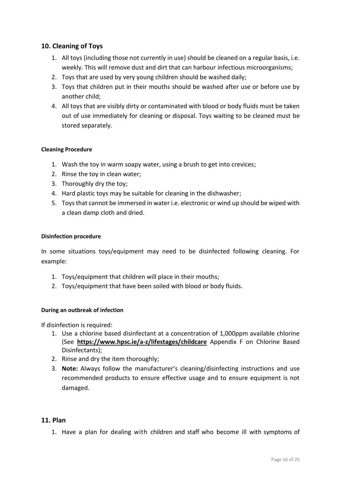#### <span id="page-15-0"></span>**10. Cleaning of Toys**

- 1. All toys (including those not currently in use) should be cleaned on a regular basis, i.e. weekly. This will remove dust and dirt that can harbour infectious microorganisms;
- 2. Toys that are used by very young children should be washed daily;
- 3. Toys that children put in their mouths should be washed after use or before use by another child;
- 4. All toys that are visibly dirty or contaminated with blood or body fluids must be taken out of use immediately for cleaning or disposal. Toys waiting to be cleaned must be stored separately.

#### **Cleaning Procedure**

- 1. Wash the toy in warm soapy water, using a brush to get into crevices;
- 2. Rinse the toy in clean water;
- 3. Thoroughly dry the toy;
- 4. Hard plastic toys may be suitable for cleaning in the dishwasher;
- 5. Toys that cannot be immersed in water i.e. electronic or wind up should be wiped with a clean damp cloth and dried.

#### **Disinfection procedure**

In some situations toys/equipment may need to be disinfected following cleaning. For example:

- 1. Toys/equipment that children will place in their mouths;
- 2. Toys/equipment that have been soiled with blood or body fluids.

#### **During an outbreak of infection**

If disinfection is required:

- 1. Use a chlorine based disinfectant at a concentration of 1,000ppm available chlorine (See **<https://www.hpsc.ie/a-z/lifestages/childcare>** Appendix F on Chlorine Based Disinfectants);
- 2. Rinse and dry the item thoroughly;
- 3. **Note:** Always follow the manufacturer's cleaning/disinfecting instructions and use recommended products to ensure effective usage and to ensure equipment is not damaged.

#### <span id="page-15-1"></span>**11. Plan**

1. Have a plan for dealing with children and staff who become ill with symptoms of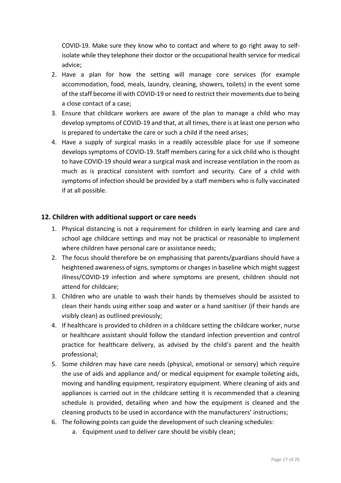COVID-19. Make sure they know who to contact and where to go right away to selfisolate while they telephone their doctor or the occupational health service for medical advice;

- 2. Have a plan for how the setting will manage core services (for example accommodation, food, meals, laundry, cleaning, showers, toilets) in the event some of the staff become ill with COVID-19 or need to restrict their movements due to being a close contact of a case;
- 3. Ensure that childcare workers are aware of the plan to manage a child who may develop symptoms of COVID-19 and that, at all times, there is at least one person who is prepared to undertake the care or such a child if the need arises;
- 4. Have a supply of surgical masks in a readily accessible place for use if someone develops symptoms of COVID-19. Staff members caring for a sick child who is thought to have COVID-19 should wear a surgical mask and increase ventilation in the room as much as is practical consistent with comfort and security. Care of a child with symptoms of infection should be provided by a staff members who is fully vaccinated if at all possible.

#### <span id="page-16-0"></span>**12. Children with additional support or care needs**

- 1. Physical distancing is not a requirement for children in early learning and care and school age childcare settings and may not be practical or reasonable to implement where children have personal care or assistance needs;
- 2. The focus should therefore be on emphasising that parents/guardians should have a heightened awareness of signs, symptoms or changes in baseline which might suggest illness/COVID-19 infection and where symptoms are present, children should not attend for childcare;
- 3. Children who are unable to wash their hands by themselves should be assisted to clean their hands using either soap and water or a hand sanitiser (if their hands are visibly clean) as outlined previously;
- 4. If healthcare is provided to children in a childcare setting the childcare worker, nurse or healthcare assistant should follow the standard infection prevention and control practice for healthcare delivery, as advised by the child's parent and the health professional;
- 5. Some children may have care needs (physical, emotional or sensory) which require the use of aids and appliance and/ or medical equipment for example toileting aids, moving and handling equipment, respiratory equipment. Where cleaning of aids and appliances is carried out in the childcare setting it is recommended that a cleaning schedule is provided, detailing when and how the equipment is cleaned and the cleaning products to be used in accordance with the manufacturers' instructions;
- 6. The following points can guide the development of such cleaning schedules:
	- a. Equipment used to deliver care should be visibly clean;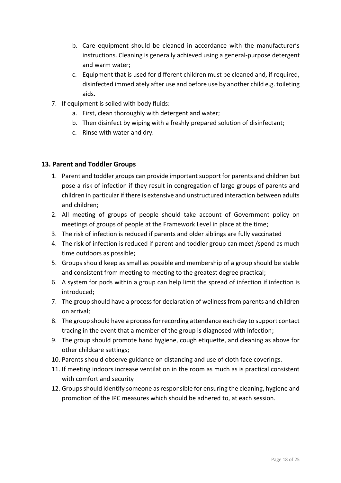- b. Care equipment should be cleaned in accordance with the manufacturer's instructions. Cleaning is generally achieved using a general-purpose detergent and warm water;
- c. Equipment that is used for different children must be cleaned and, if required, disinfected immediately after use and before use by another child e.g. toileting aids.
- 7. If equipment is soiled with body fluids:
	- a. First, clean thoroughly with detergent and water;
	- b. Then disinfect by wiping with a freshly prepared solution of disinfectant;
	- c. Rinse with water and dry.

#### <span id="page-17-0"></span>**13. Parent and Toddler Groups**

- 1. Parent and toddler groups can provide important support for parents and children but pose a risk of infection if they result in congregation of large groups of parents and children in particular if there is extensive and unstructured interaction between adults and children;
- 2. All meeting of groups of people should take account of Government policy on meetings of groups of people at the Framework Level in place at the time;
- 3. The risk of infection is reduced if parents and older siblings are fully vaccinated
- 4. The risk of infection is reduced if parent and toddler group can meet /spend as much time outdoors as possible;
- 5. Groups should keep as small as possible and membership of a group should be stable and consistent from meeting to meeting to the greatest degree practical;
- 6. A system for pods within a group can help limit the spread of infection if infection is introduced;
- 7. The group should have a process for declaration of wellness from parents and children on arrival;
- 8. The group should have a process for recording attendance each day to support contact tracing in the event that a member of the group is diagnosed with infection;
- 9. The group should promote hand hygiene, cough etiquette, and cleaning as above for other childcare settings;
- 10. Parents should observe guidance on distancing and use of cloth face coverings.
- 11. If meeting indoors increase ventilation in the room as much as is practical consistent with comfort and security
- 12. Groups should identify someone as responsible for ensuring the cleaning, hygiene and promotion of the IPC measures which should be adhered to, at each session.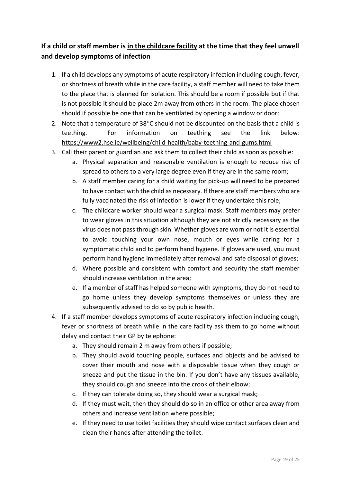#### <span id="page-18-0"></span>**If a child or staff member is in the childcare facility at the time that they feel unwell and develop symptoms of infection**

- 1. If a child develops any symptoms of acute respiratory infection including cough, fever, or shortness of breath while in the care facility, a staff member will need to take them to the place that is planned for isolation. This should be a room if possible but if that is not possible it should be place 2m away from others in the room. The place chosen should if possible be one that can be ventilated by opening a window or door;
- 2. Note that a temperature of  $38^{\circ}$ C should not be discounted on the basis that a child is teething. For information on teething see the link below: <https://www2.hse.ie/wellbeing/child-health/baby-teething-and-gums.html>
- 3. Call their parent or guardian and ask them to collect their child as soon as possible:
	- a. Physical separation and reasonable ventilation is enough to reduce risk of spread to others to a very large degree even if they are in the same room;
	- b. A staff member caring for a child waiting for pick-up will need to be prepared to have contact with the child as necessary. If there are staff members who are fully vaccinated the risk of infection is lower if they undertake this role;
	- c. The childcare worker should wear a surgical mask. Staff members may prefer to wear gloves in this situation although they are not strictly necessary as the virus does not pass through skin. Whether gloves are worn or not it is essential to avoid touching your own nose, mouth or eyes while caring for a symptomatic child and to perform hand hygiene. If gloves are used, you must perform hand hygiene immediately after removal and safe disposal of gloves;
	- d. Where possible and consistent with comfort and security the staff member should increase ventilation in the area;
	- e. If a member of staff has helped someone with symptoms, they do not need to go home unless they develop symptoms themselves or unless they are subsequently advised to do so by public health.
- 4. If a staff member develops symptoms of acute respiratory infection including cough, fever or shortness of breath while in the care facility ask them to go home without delay and contact their GP by telephone:
	- a. They should remain 2 m away from others if possible;
	- b. They should avoid touching people, surfaces and objects and be advised to cover their mouth and nose with a disposable tissue when they cough or sneeze and put the tissue in the bin. If you don't have any tissues available, they should cough and sneeze into the crook of their elbow;
	- c. If they can tolerate doing so, they should wear a surgical mask;
	- d. If they must wait, then they should do so in an office or other area away from others and increase ventilation where possible;
	- e. If they need to use toilet facilities they should wipe contact surfaces clean and clean their hands after attending the toilet.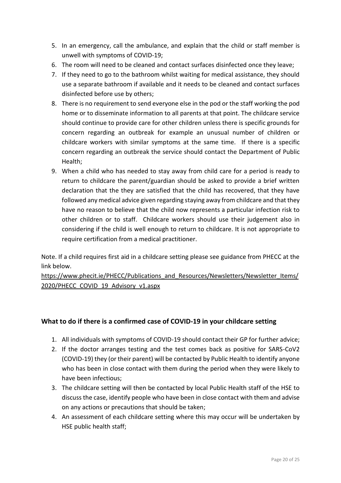- 5. In an emergency, call the ambulance, and explain that the child or staff member is unwell with symptoms of COVID-19;
- 6. The room will need to be cleaned and contact surfaces disinfected once they leave;
- 7. If they need to go to the bathroom whilst waiting for medical assistance, they should use a separate bathroom if available and it needs to be cleaned and contact surfaces disinfected before use by others;
- 8. There is no requirement to send everyone else in the pod or the staff working the pod home or to disseminate information to all parents at that point. The childcare service should continue to provide care for other children unless there is specific grounds for concern regarding an outbreak for example an unusual number of children or childcare workers with similar symptoms at the same time. If there is a specific concern regarding an outbreak the service should contact the Department of Public Health;
- 9. When a child who has needed to stay away from child care for a period is ready to return to childcare the parent/guardian should be asked to provide a brief written declaration that the they are satisfied that the child has recovered, that they have followed any medical advice given regarding staying away from childcare and that they have no reason to believe that the child now represents a particular infection risk to other children or to staff. Childcare workers should use their judgement also in considering if the child is well enough to return to childcare. It is not appropriate to require certification from a medical practitioner.

Note. If a child requires first aid in a childcare setting please see guidance from PHECC at the link below.

[https://www.phecit.ie/PHECC/Publications\\_and\\_Resources/Newsletters/Newsletter\\_Items/](https://www.phecit.ie/PHECC/Publications_and_Resources/Newsletters/Newsletter_Items/2020/PHECC_COVID_19_Advisory_v1.aspx) [2020/PHECC\\_COVID\\_19\\_Advisory\\_v1.aspx](https://www.phecit.ie/PHECC/Publications_and_Resources/Newsletters/Newsletter_Items/2020/PHECC_COVID_19_Advisory_v1.aspx)

#### <span id="page-19-0"></span>**What to do if there is a confirmed case of COVID-19 in your childcare setting**

- 1. All individuals with symptoms of COVID-19 should contact their GP for further advice;
- 2. If the doctor arranges testing and the test comes back as positive for SARS-CoV2 (COVID-19) they (or their parent) will be contacted by Public Health to identify anyone who has been in close contact with them during the period when they were likely to have been infectious;
- 3. The childcare setting will then be contacted by local Public Health staff of the HSE to discuss the case, identify people who have been in close contact with them and advise on any actions or precautions that should be taken;
- 4. An assessment of each childcare setting where this may occur will be undertaken by HSE public health staff;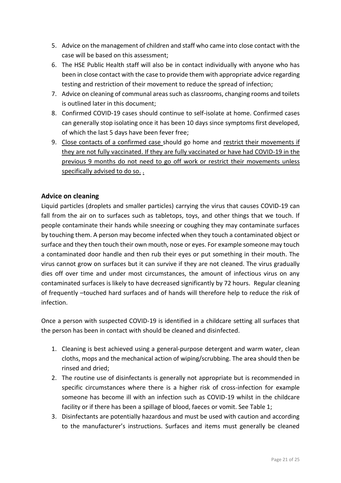- 5. Advice on the management of children and staff who came into close contact with the case will be based on this assessment;
- 6. The HSE Public Health staff will also be in contact individually with anyone who has been in close contact with the case to provide them with appropriate advice regarding testing and restriction of their movement to reduce the spread of infection;
- 7. Advice on cleaning of communal areas such as classrooms, changing rooms and toilets is outlined later in this document;
- 8. Confirmed COVID-19 cases should continue to [self-isolate](https://www2.hse.ie/conditions/coronavirus/managing-coronavirus-at-home/self-isolation.html) at home. Confirmed cases can generally stop isolating once it has been 10 days since symptoms first developed, of which the last 5 days have been fever free;
- 9. Close contacts of a confirmed case should go home and [restrict their movements](https://www2.hse.ie/conditions/coronavirus/managing-coronavirus-at-home/if-you-live-with-someone-who-has-coronavirus.html#restrict) if they are not fully vaccinated. If they are fully vaccinated or have had COVID-19 in the previous 9 months do not need to go off work or restrict their movements unless specifically advised to do so. .

#### <span id="page-20-0"></span>**Advice on cleaning**

Liquid particles (droplets and smaller particles) carrying the virus that causes COVID-19 can fall from the air on to surfaces such as tabletops, toys, and other things that we touch. If people contaminate their hands while sneezing or coughing they may contaminate surfaces by touching them. A person may become infected when they touch a contaminated object or surface and they then touch their own mouth, nose or eyes. For example someone may touch a contaminated door handle and then rub their eyes or put something in their mouth. The virus cannot grow on surfaces but it can survive if they are not cleaned. The virus gradually dies off over time and under most circumstances, the amount of infectious virus on any contaminated surfaces is likely to have decreased significantly by 72 hours. Regular cleaning of frequently –touched hard surfaces and of hands will therefore help to reduce the risk of infection.

Once a person with suspected COVID-19 is identified in a childcare setting all surfaces that the person has been in contact with should be cleaned and disinfected.

- 1. Cleaning is best achieved using a general-purpose detergent and warm water, clean cloths, mops and the mechanical action of wiping/scrubbing. The area should then be rinsed and dried;
- 2. The routine use of disinfectants is generally not appropriate but is recommended in specific circumstances where there is a higher risk of cross-infection for example someone has become ill with an infection such as COVID-19 whilst in the childcare facility or if there has been a spillage of blood, faeces or vomit. See Table 1;
- 3. Disinfectants are potentially hazardous and must be used with caution and according to the manufacturer's instructions. Surfaces and items must generally be cleaned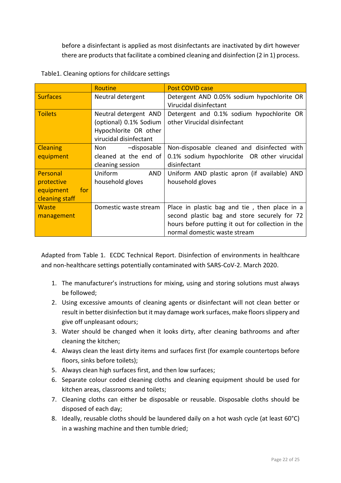before a disinfectant is applied as most disinfectants are inactivated by dirt however there are products that facilitate a combined cleaning and disinfection (2 in 1) process.

|                  | Routine                    | <b>Post COVID case</b>                            |
|------------------|----------------------------|---------------------------------------------------|
| <b>Surfaces</b>  | Neutral detergent          | Detergent AND 0.05% sodium hypochlorite OR        |
|                  |                            | Virucidal disinfectant                            |
| <b>Toilets</b>   | Neutral detergent AND      | Detergent and 0.1% sodium hypochlorite OR         |
|                  | (optional) 0.1% Sodium     | other Virucidal disinfectant                      |
|                  | Hypochlorite OR other      |                                                   |
|                  | virucidal disinfectant     |                                                   |
| <b>Cleaning</b>  | -disposable<br>Non the sea | Non-disposable cleaned and disinfected with       |
| equipment        | cleaned at the end of      | 0.1% sodium hypochlorite OR other virucidal       |
|                  | cleaning session           | disinfectant                                      |
| Personal         | Uniform<br>AND             | Uniform AND plastic apron (if available) AND      |
| protective       | household gloves           | household gloves                                  |
| equipment<br>for |                            |                                                   |
| cleaning staff   |                            |                                                   |
| <b>Waste</b>     | Domestic waste stream      | Place in plastic bag and tie, then place in a     |
| management       |                            | second plastic bag and store securely for 72      |
|                  |                            | hours before putting it out for collection in the |
|                  |                            | normal domestic waste stream                      |

|  |  | Table1. Cleaning options for childcare settings |
|--|--|-------------------------------------------------|
|--|--|-------------------------------------------------|

Adapted from Table 1. ECDC Technical Report. Disinfection of environments in healthcare and non-healthcare settings potentially contaminated with SARS-CoV-2. March 2020.

- 1. The manufacturer's instructions for mixing, using and storing solutions must always be followed;
- 2. Using excessive amounts of cleaning agents or disinfectant will not clean better or result in better disinfection but it may damage work surfaces, make floors slippery and give off unpleasant odours;
- 3. Water should be changed when it looks dirty, after cleaning bathrooms and after cleaning the kitchen;
- 4. Always clean the least dirty items and surfaces first (for example countertops before floors, sinks before toilets);
- 5. Always clean high surfaces first, and then low surfaces;
- 6. Separate colour coded cleaning cloths and cleaning equipment should be used for kitchen areas, classrooms and toilets;
- 7. Cleaning cloths can either be disposable or reusable. Disposable cloths should be disposed of each day;
- 8. Ideally, reusable cloths should be laundered daily on a hot wash cycle (at least 60°C) in a washing machine and then tumble dried;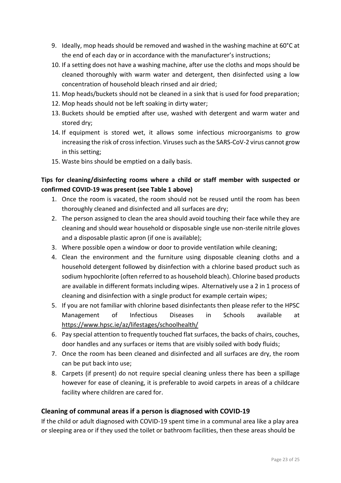- 9. Ideally, mop heads should be removed and washed in the washing machine at 60°C at the end of each day or in accordance with the manufacturer's instructions;
- 10. If a setting does not have a washing machine, after use the cloths and mops should be cleaned thoroughly with warm water and detergent, then disinfected using a low concentration of household bleach rinsed and air dried;
- 11. Mop heads/buckets should not be cleaned in a sink that is used for food preparation;
- 12. Mop heads should not be left soaking in dirty water;
- 13. Buckets should be emptied after use, washed with detergent and warm water and stored dry;
- 14. If equipment is stored wet, it allows some infectious microorganisms to grow increasing the risk of cross infection. Viruses such as the SARS-CoV-2 virus cannot grow in this setting;
- 15. Waste bins should be emptied on a daily basis.

#### **Tips for cleaning/disinfecting rooms where a child or staff member with suspected or confirmed COVID-19 was present (see Table 1 above)**

- 1. Once the room is vacated, the room should not be reused until the room has been thoroughly cleaned and disinfected and all surfaces are dry;
- 2. The person assigned to clean the area should avoid touching their face while they are cleaning and should wear household or disposable single use non-sterile nitrile gloves and a disposable plastic apron (if one is available);
- 3. Where possible open a window or door to provide ventilation while cleaning;
- 4. Clean the environment and the furniture using disposable cleaning cloths and a household detergent followed by disinfection with a chlorine based product such as sodium hypochlorite (often referred to as household bleach). Chlorine based products are available in different formats including wipes. Alternatively use a 2 in 1 process of cleaning and disinfection with a single product for example certain wipes;
- 5. If you are not familiar with chlorine based disinfectants then please refer to the HPSC Management of Infectious Diseases in Schools available at <https://www.hpsc.ie/az/lifestages/schoolhealth/>
- 6. Pay special attention to frequently touched flat surfaces, the backs of chairs, couches, door handles and any surfaces or items that are visibly soiled with body fluids;
- 7. Once the room has been cleaned and disinfected and all surfaces are dry, the room can be put back into use;
- 8. Carpets (if present) do not require special cleaning unless there has been a spillage however for ease of cleaning, it is preferable to avoid carpets in areas of a childcare facility where children are cared for.

#### <span id="page-22-0"></span>**Cleaning of communal areas if a person is diagnosed with COVID-19**

If the child or adult diagnosed with COVID-19 spent time in a communal area like a play area or sleeping area or if they used the toilet or bathroom facilities, then these areas should be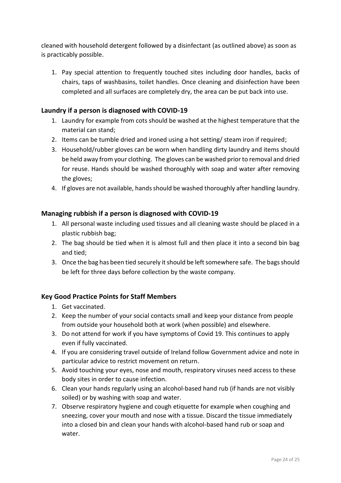cleaned with household detergent followed by a disinfectant (as outlined above) as soon as is practicably possible.

1. Pay special attention to frequently touched sites including door handles, backs of chairs, taps of washbasins, toilet handles. Once cleaning and disinfection have been completed and all surfaces are completely dry, the area can be put back into use.

#### <span id="page-23-0"></span>**Laundry if a person is diagnosed with COVID-19**

- 1. Laundry for example from cots should be washed at the highest temperature that the material can stand;
- 2. Items can be tumble dried and ironed using a hot setting/ steam iron if required;
- 3. Household/rubber gloves can be worn when handling dirty laundry and items should be held away from your clothing. The gloves can be washed prior to removal and dried for reuse. Hands should be washed thoroughly with soap and water after removing the gloves;
- 4. If gloves are not available, hands should be washed thoroughly after handling laundry.

#### <span id="page-23-1"></span>**Managing rubbish if a person is diagnosed with COVID-19**

- 1. All personal waste including used tissues and all cleaning waste should be placed in a plastic rubbish bag;
- 2. The bag should be tied when it is almost full and then place it into a second bin bag and tied;
- 3. Once the bag has been tied securely it should be left somewhere safe. The bags should be left for three days before collection by the waste company.

#### <span id="page-23-2"></span>**Key Good Practice Points for Staff Members**

- 1. Get vaccinated.
- 2. Keep the number of your social contacts small and keep your distance from people from outside your household both at work (when possible) and elsewhere.
- 3. Do not attend for work if you have symptoms of Covid 19. This continues to apply even if fully vaccinated.
- 4. If you are considering travel outside of Ireland follow Government advice and note in particular advice to restrict movement on return.
- 5. Avoid touching your eyes, nose and mouth, respiratory viruses need access to these body sites in order to cause infection.
- 6. Clean your hands regularly using an alcohol-based hand rub (if hands are not visibly soiled) or by washing with soap and water.
- 7. Observe respiratory hygiene and cough etiquette for example when coughing and sneezing, cover your mouth and nose with a tissue. Discard the tissue immediately into a closed bin and clean your hands with alcohol-based hand rub or soap and water.